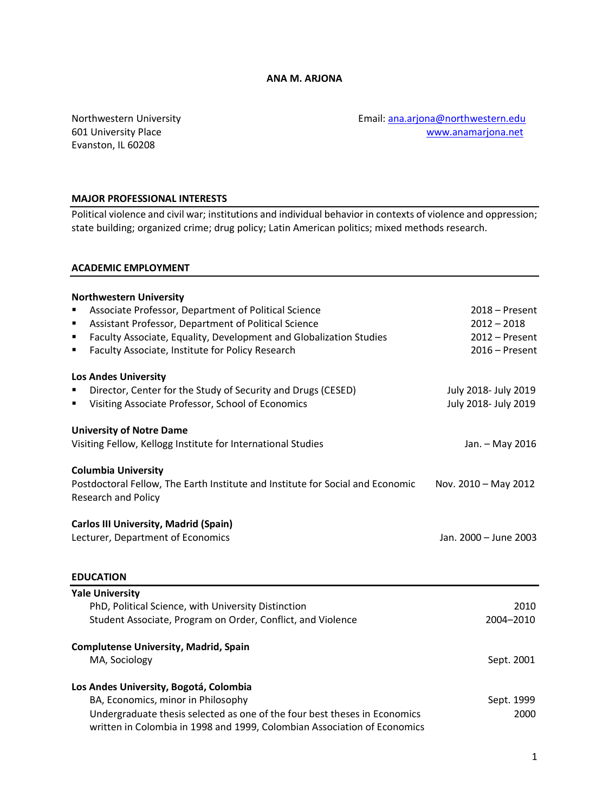Evanston, IL 60208

Northwestern University **Email:** [ana.arjona@northwestern.edu](mailto:ana.arjona@northwestern.edu) 601 University Place [www.anamarjona.net](http://www.anamarjona.net/)

### **MAJOR PROFESSIONAL INTERESTS**

Political violence and civil war; institutions and individual behavior in contexts of violence and oppression; state building; organized crime; drug policy; Latin American politics; mixed methods research.

#### **ACADEMIC EMPLOYMENT**

| <b>Northwestern University</b>                                                       |                       |
|--------------------------------------------------------------------------------------|-----------------------|
| Associate Professor, Department of Political Science                                 | $2018 -$ Present      |
| Assistant Professor, Department of Political Science<br>п                            | $2012 - 2018$         |
| Faculty Associate, Equality, Development and Globalization Studies<br>$\blacksquare$ | $2012 -$ Present      |
| Faculty Associate, Institute for Policy Research<br>П                                | $2016 -$ Present      |
|                                                                                      |                       |
| <b>Los Andes University</b>                                                          |                       |
| Director, Center for the Study of Security and Drugs (CESED)                         | July 2018- July 2019  |
| Visiting Associate Professor, School of Economics<br>٠                               | July 2018- July 2019  |
|                                                                                      |                       |
| <b>University of Notre Dame</b>                                                      |                       |
| Visiting Fellow, Kellogg Institute for International Studies                         | Jan. - May 2016       |
|                                                                                      |                       |
| <b>Columbia University</b>                                                           |                       |
| Postdoctoral Fellow, The Earth Institute and Institute for Social and Economic       | Nov. 2010 - May 2012  |
| <b>Research and Policy</b>                                                           |                       |
| <b>Carlos III University, Madrid (Spain)</b>                                         |                       |
| Lecturer, Department of Economics                                                    | Jan. 2000 - June 2003 |
|                                                                                      |                       |
|                                                                                      |                       |
| <b>EDUCATION</b>                                                                     |                       |
| <b>Yale University</b>                                                               |                       |
| PhD, Political Science, with University Distinction                                  | 2010                  |
| Student Associate, Program on Order, Conflict, and Violence                          | 2004-2010             |
| <b>Complutense University, Madrid, Spain</b>                                         |                       |
| MA, Sociology                                                                        | Sept. 2001            |
|                                                                                      |                       |
| Los Andes University, Bogotá, Colombia                                               |                       |
| BA, Economics, minor in Philosophy                                                   | Sept. 1999            |
| Undergraduate thesis selected as one of the four best theses in Economics            | 2000                  |
| written in Colombia in 1998 and 1999, Colombian Association of Economics             |                       |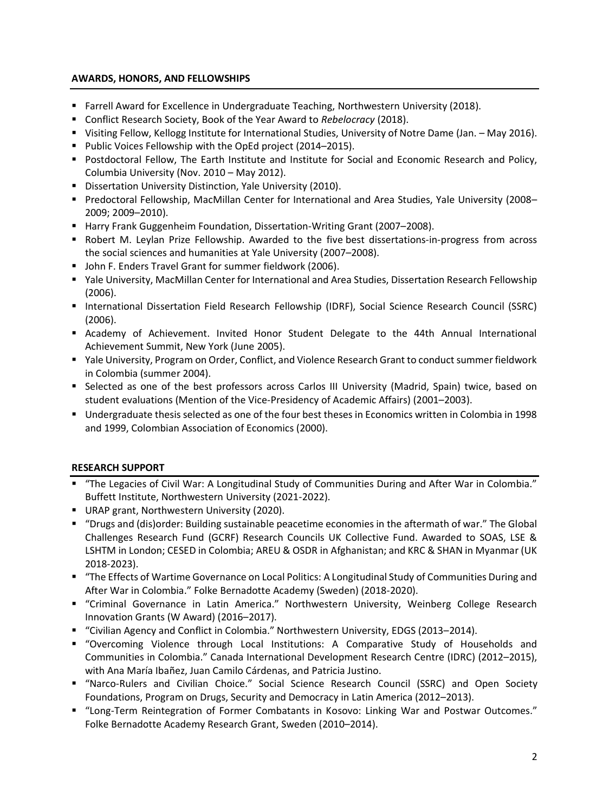# **AWARDS, HONORS, AND FELLOWSHIPS**

- Farrell Award for Excellence in Undergraduate Teaching, Northwestern University (2018).
- Conflict Research Society, Book of the Year Award to *Rebelocracy* (2018).
- Visiting Fellow, Kellogg Institute for International Studies, University of Notre Dame (Jan. May 2016).
- Public Voices Fellowship with the OpEd project (2014–2015).
- Postdoctoral Fellow, The Earth Institute and Institute for Social and Economic Research and Policy, Columbia University (Nov. 2010 – May 2012).
- **E** Dissertation University Distinction, Yale University (2010).
- Predoctoral Fellowship, MacMillan Center for International and Area Studies, Yale University (2008– 2009; 2009–2010).
- **E** Harry Frank Guggenheim Foundation, Dissertation-Writing Grant (2007–2008).
- Robert M. Leylan Prize Fellowship. Awarded to the five best dissertations-in-progress from across the social sciences and humanities at Yale University (2007–2008).
- John F. Enders Travel Grant for summer fieldwork (2006).
- Yale University, MacMillan Center for International and Area Studies, Dissertation Research Fellowship (2006).
- International Dissertation Field Research Fellowship (IDRF), Social Science Research Council (SSRC) (2006).
- **E** Academy of Achievement. Invited Honor Student Delegate to the 44th Annual International Achievement Summit, New York (June 2005).
- Yale University, Program on Order, Conflict, and Violence Research Grant to conduct summer fieldwork in Colombia (summer 2004).
- **EXECT As Selected as one of the best professors across Carlos III University (Madrid, Spain) twice, based on** student evaluations (Mention of the Vice-Presidency of Academic Affairs) (2001–2003).
- Undergraduate thesis selected as one of the four best theses in Economics written in Colombia in 1998 and 1999, Colombian Association of Economics (2000).

# **RESEARCH SUPPORT**

- "The Legacies of Civil War: A Longitudinal Study of Communities During and After War in Colombia." Buffett Institute, Northwestern University (2021-2022).
- URAP grant, Northwestern University (2020).
- "Drugs and (dis)order: Building sustainable peacetime economies in the aftermath of war." The Global Challenges Research Fund (GCRF) Research Councils UK Collective Fund. Awarded to SOAS, LSE & LSHTM in London; CESED in Colombia; AREU & OSDR in Afghanistan; and KRC & SHAN in Myanmar (UK 2018-2023).
- "The Effects of Wartime Governance on Local Politics: A Longitudinal Study of Communities During and After War in Colombia." Folke Bernadotte Academy (Sweden) (2018-2020).
- "Criminal Governance in Latin America." Northwestern University, Weinberg College Research Innovation Grants (W Award) (2016–2017).
- "Civilian Agency and Conflict in Colombia." Northwestern University, EDGS (2013–2014).
- "Overcoming Violence through Local Institutions: A Comparative Study of Households and Communities in Colombia." Canada International Development Research Centre (IDRC) (2012–2015), with Ana María Ibañez, Juan Camilo Cárdenas, and Patricia Justino.
- "Narco-Rulers and Civilian Choice." Social Science Research Council (SSRC) and Open Society Foundations, Program on Drugs, Security and Democracy in Latin America (2012–2013).
- "Long-Term Reintegration of Former Combatants in Kosovo: Linking War and Postwar Outcomes." Folke Bernadotte Academy Research Grant, Sweden (2010–2014).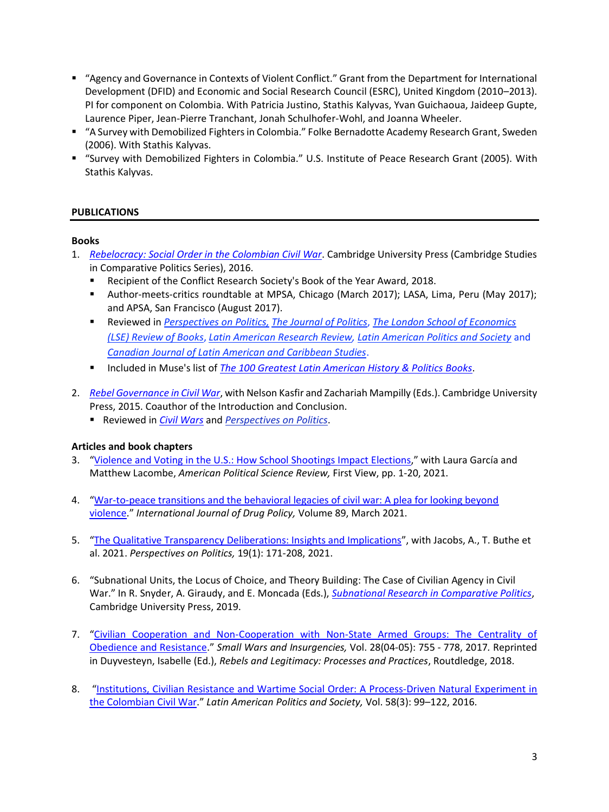- "Agency and Governance in Contexts of Violent Conflict." Grant from the Department for International Development (DFID) and Economic and Social Research Council (ESRC), United Kingdom (2010–2013). PI for component on Colombia. With Patricia Justino, Stathis Kalyvas, Yvan Guichaoua, Jaideep Gupte, Laurence Piper, Jean-Pierre Tranchant, Jonah Schulhofer-Wohl, and Joanna Wheeler.
- "A Survey with Demobilized Fighters in Colombia." Folke Bernadotte Academy Research Grant, Sweden (2006). With Stathis Kalyvas.
- "Survey with Demobilized Fighters in Colombia." U.S. Institute of Peace Research Grant (2005). With Stathis Kalyvas.

# **PUBLICATIONS**

### **Books**

- 1. *[Rebelocracy: Social Order in the Colombian Civil War](http://www.cambridge.org/catalogue/catalogue.asp?isbn=9781107126039)*. Cambridge University Press (Cambridge Studies in Comparative Politics Series), 2016.
	- Recipient of the Conflict Research Society's Book of the Year Award, 2018.
	- Author-meets-critics roundtable at MPSA, Chicago (March 2017); LASA, Lima, Peru (May 2017); and APSA, San Francisco (August 2017).
	- Reviewed in *[Perspectives on Politics,](http://www.anamarjona.net/docs/Review_Florea.pdf) [The Journal of Politics](http://www.anamarjona.net/docs/Review_JOP.pdf), The London School of Economics [\(LSE\) Review of Books](http://blogs.lse.ac.uk/lsereviewofbooks/2018/08/28/book-review-rebelocracy-social-order-in-the-colombian-civil-war-by-ana-arjona/)*, *[Latin American Research Review,](https://larrlasa.org/articles/10.25222/larr.1093/) [Latin American Politics and Society](https://search.proquest.com/docview/2209634030?pq-origsite=gscholar&fromopenview=true)* and *[Canadian Journal of Latin American and Caribbean Studies](https://www.tandfonline.com/doi/abs/10.1080/08263663.2018.1507968?journalCode=rclc20)*.
	- Included in Muse's list of *[The 100 Greatest Latin American History & Politics](http://www.listmuse.com/greatest-latin-american-history-books.php) Books*.
- 2. *[Rebel Governance in Civil War](http://www.cambridge.org/catalogue/catalogue.asp?isbn=9781316435229)*, with Nelson Kasfir and Zachariah Mampilly (Eds.). Cambridge University Press, 2015. Coauthor of the Introduction and Conclusion.
	- Reviewed in *[Civil Wars](http://anamarjona.net/docs/Fisher%20review.pdf)* and *[Perspectives on Politics](http://www.anamarjona.net/docs/Review_Florea.pdf)*.

# **Articles and book chapters**

- 3. "[Violence and Voting in the U.S.: How School Shootings Impact Elections](https://www.cambridge.org/core/journals/american-political-science-review/article/abs/violence-and-voting-in-the-united-states-how-school-shootings-affect-elections/48D77237C8B89BCA106ED7BAC20CE2E4)," with Laura García and Matthew Lacombe, *American Political Science Review,* First View, pp. 1-20, 2021.
- 4. "[War-to-peace transitions and the behavioral legacies of civil war: A plea for looking beyond](https://linkinghub.elsevier.com/retrieve/pii/S0955395921000529)  [violence](https://linkinghub.elsevier.com/retrieve/pii/S0955395921000529)." *International Journal of Drug Policy,* Volume 89, March 2021.
- 5. "[The Qualitative Transparency Deliberations: Insights and Implications](https://www.cambridge.org/core/journals/perspectives-on-politics/article/qualitative-transparency-deliberations-insights-and-implications/890AA58A1829A075F1D28DA9BD54C2EB)", with Jacobs, A., T. Buthe et al. 2021. *Perspectives on Politics,* 19(1): 171-208, 2021.
- 6. "Subnational Units, the Locus of Choice, and Theory Building: The Case of Civilian Agency in Civil War." In R. Snyder, A. Giraudy, and E. Moncada (Eds.), *[Subnational Research in Comparative Politics](https://www.cambridge.org/core/books/inside-countries/CEBCCFE10E8EB4BC93A7773A72868456)*, Cambridge University Press, 2019.
- 7. "[Civilian Cooperation and Non-Cooperation with Non-State Armed Groups: The Centrality of](http://www.anamarjona.net/docs/1.%20Cooperation%20and%20non-cooperation.pdf)  [Obedience and Resistance.](http://www.anamarjona.net/docs/1.%20Cooperation%20and%20non-cooperation.pdf)" *Small Wars and Insurgencies,* Vol. 28(04-05): 755 - 778, 2017*.* Reprinted in Duyvesteyn, Isabelle (Ed.), *Rebels and Legitimacy: Processes and Practices*, Routdledge, 2018.
- 8. "[Institutions, Civilian Resistance and Wartime Social Order: A Process-Driven Natural Experiment in](http://www.anamarjona.net/docs/Arjona_LAPS_2016.pdf)  [the Colombian Civil War.](http://www.anamarjona.net/docs/Arjona_LAPS_2016.pdf)" *Latin American Politics and Society,* Vol. 58(3): 99–122, 2016.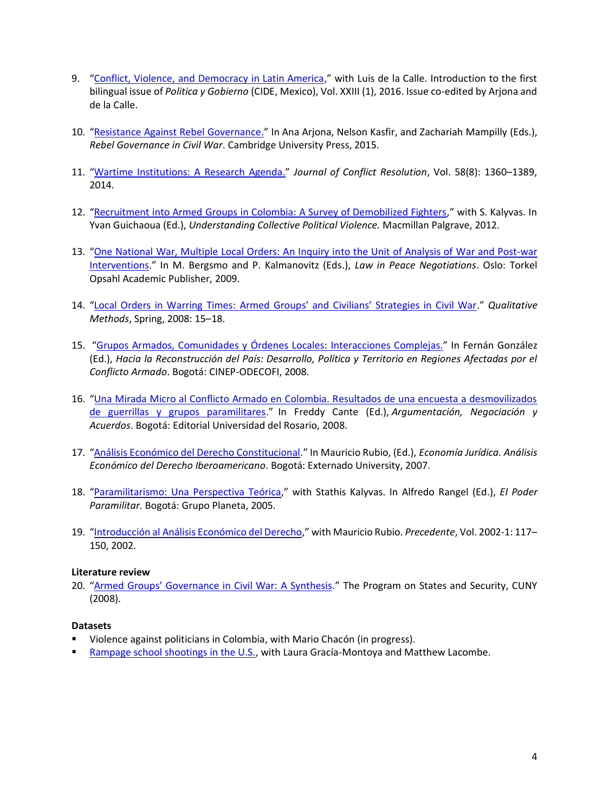- 9. "[Conflict, Violence, and Democracy in Latin America,](http://www.anamarjona.net/docs/Arjona_de%20la%20Calle.pdf)" with Luis de la Calle. Introduction to the first bilingual issue of *Politica y Gobierno* (CIDE, Mexico), Vol. XXIII (1), 2016. Issue co-edited by Arjona and de la Calle.
- 10. "[Resistance Against Rebel Governance.](http://www.anamarjona.net/docs/2015%20Arjona_Resistance.pdf)" In Ana Arjona, Nelson Kasfir, and Zachariah Mampilly (Eds.), *Rebel Governance in Civil War*. Cambridge University Press, 2015.
- 11. "[Wartime Institutions: A Research Agenda.](http://www.anamarjona.net/docs/Arjona,%20Wartime%20Institutions,%20JCR.pdf)" *Journal of Conflict Resolution*, Vol. 58(8): 1360–1389, 2014.
- 12. "[Recruitment into Armed Groups in Colombia: A Survey of Demobilized Fighters](http://www.anamarjona.net/docs/Arjona_Kalyvas_2011.pdf)," with S. Kalyvas. In Yvan Guichaoua (Ed.), *Understanding Collective Political Violence.* Macmillan Palgrave, 2012.
- 13. "[One National War, Multiple Local Orders: An Inquiry into the Unit of Analysis of](http://www.anamarjona.net/docs/Arjona%20PRIO.pdf) War and Post-war [Interventions](http://www.anamarjona.net/docs/Arjona%20PRIO.pdf)." In M. Bergsmo and P. Kalmanovitz (Eds.), *Law in Peace Negotiations*. Oslo: Torkel Opsahl Academic Publisher, 2009.
- 14. "Local Orders in Warring Times: [Armed Groups' and Civilians' Strategies in Civil War.](http://www.anamarjona.net/docs/Arjona_Qualitative_2008.pdf)" *Qualitative Methods*, Spring, 2008: 15–18.
- 15. "[Grupos Armados, Comunidades y Órdenes Locales: Interacciones Complejas.](http://anamarjona.net/docs/Arjona_Ordenes_locales_2008.pdf)" In Fernán González (Ed.), *Hacia la Reconstrucción del País: Desarrollo, Política y Territorio en Regiones Afectadas por el Conflicto Armado*. Bogotá: CINEP-ODECOFI, 2008.
- 16. "[Una Mirada Micro al Conflicto Armado en Colombia. Resultados de una encuesta a desmovilizados](http://anamarjona.net/docs/Arjona_Mirada_Micro_2008.pdf)  [de guerrillas y grupos paramilitares.](http://anamarjona.net/docs/Arjona_Mirada_Micro_2008.pdf)" In Freddy Cante (Ed.), *Argumentación, Negociación y Acuerdos*. Bogotá: Editorial Universidad del Rosario, 2008.
- 17. "[Análisis Económico del Derecho Constitucional.](http://anamarjona.net/docs/13.%20Constitutional%20law.pdf)" In Mauricio Rubio, (Ed.), *Economía Jurídica. Análisis Económico del Derecho Iberoamericano*. Bogotá: Externado University, 2007.
- 18. "Paramilitarismo: [Una Perspectiva Teórica](http://anamarjona.net/docs/Arjona_Kalyvas_Paramilitarism.pdf)," with Stathis Kalyvas. In Alfredo Rangel (Ed.), *El Poder Paramilitar.* Bogotá: Grupo Planeta, 2005.
- 19. "[Introducción al Análisis Económico del Derecho](http://anamarjona.net/docs/Law_and_economics.pdf)," with Mauricio Rubio. *Precedente*, Vol. 2002-1: 117– 150, 2002.

#### **Literature review**

20. ["Armed Groups' Governance in Civil War: A Synthesis](http://anamarjona.net/docs/2008%20Arjona.Synthesis_rebel_governance.pdf)." The Program on States and Security, CUNY (2008).

#### **Datasets**

- Violence against politicians in Colombia, with Mario Chacón (in progress).
- [Rampage school shootings in the U.S.,](https://dataverse.harvard.edu/dataset.xhtml?persistentId=doi:10.7910/DVN/5TBFXL) with Laura Gracía-Montoya and Matthew Lacombe.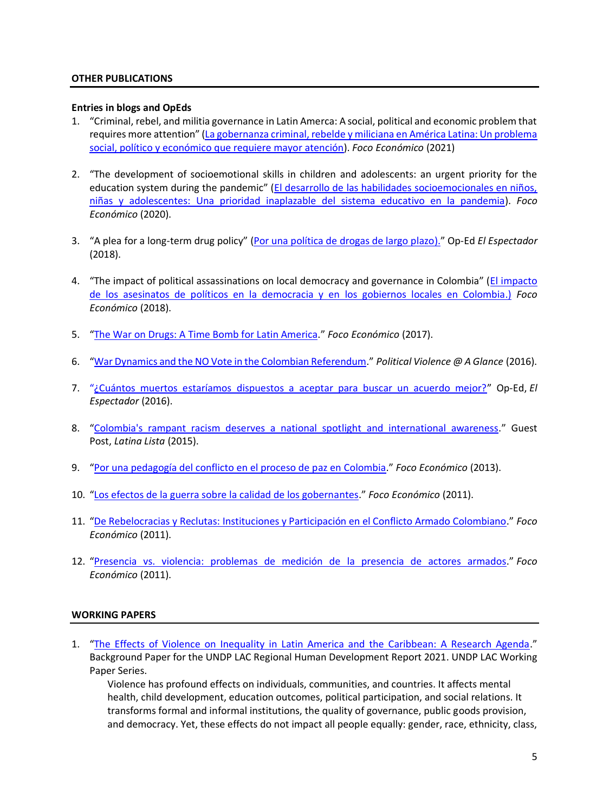### **OTHER PUBLICATIONS**

#### **Entries in blogs and OpEds**

- 1. "Criminal, rebel, and militia governance in Latin Amerca: A social, political and economic problem that requires more attention" ([La gobernanza criminal, rebelde y miliciana en América Latina: Un problema](https://focoeconomico.org/2021/02/09/la-gobernanza-criminal-rebelde-y-miliciana-en-america-latina-un-problema-social-politico-y-economico-que-requiere-mayor-atencion/)  [social, político y económico que requiere mayor atención\)](https://focoeconomico.org/2021/02/09/la-gobernanza-criminal-rebelde-y-miliciana-en-america-latina-un-problema-social-politico-y-economico-que-requiere-mayor-atencion/). *Foco Económico* (2021)
- 2. "The development of socioemotional skills in children and adolescents: an urgent priority for the education system during the pandemic" ([El desarrollo de las habilidades socioemocionales en niños,](https://focoeconomico.org/2020/06/30/el-desarrollo-de-las-habilidades-socioemocionales-en-ninos-ninas-y-adolescentesuna-prioridad-inaplazable-del-sistema-educativo-en-la-pandemia/)  [niñas y adolescentes: Una prioridad inaplazable del sistema educativo en la pandemia\)](https://focoeconomico.org/2020/06/30/el-desarrollo-de-las-habilidades-socioemocionales-en-ninos-ninas-y-adolescentesuna-prioridad-inaplazable-del-sistema-educativo-en-la-pandemia/). *Foco Económico* (2020).
- 3. "A plea for a long-term drug policy" ([Por una política de drogas de largo plazo\).](http://blogs.elespectador.com/economia/desde-la-academia/una-politica-drogas-largo-plazo)" Op-Ed *El Espectador* (2018).
- 4. "The impact of political assassinations on local democracy and governance in Colombia" (El impacto [de los asesinatos de políticos en la democracia y en los gobiernos locales en Colombia.](http://focoeconomico.org/2018/08/08/el-impacto-de-los-asesinatos-de-politicos-en-la-democracia-y-en-los-gobiernos-locales-en-colombia/)) *Foco Económico* (2018).
- 5. "[The War on Drugs: A Time Bomb for Latin America](http://focoeconomico.org/2017/05/23/la-guerra-contra-las-drogas-una-bomba-de-tiempo-para-america-latina/)." *Foco Económico* (2017).
- 6. "[War Dynamics and the NO Vote in the Colombian Referendum](http://politicalviolenceataglance.org/2016/10/20/war-dynamics-and-the-no-vote-in-the-colombian-referendum/)." *Political Violence @ A Glance* (2016).
- 7. "[¿Cuántos muertos estaríamos dispuestos a aceptar para buscar un acuerdo mejor?](http://www.elespectador.com/opinion/cuantos-muertos-estariamos-dispuestos-aceptar-buscar-un)" Op-Ed, *El Espectador* (2016).
- 8. "[Colombia's rampant racism deserves a national spotlight and international awareness.](http://latinalista.com/columns/guestvoz/guest-voz-colombias-rampant-racism-deserves-a-national-spotlight-and-international-awareness)" Guest Post, *Latina Lista* (2015).
- 9. "[Por una pedagogía del conflicto en el proceso de paz en Colombia](http://focoeconomico.org/2015/06/16/por-una-pedagogia-del-conflicto-en-el-proceso-de-paz-en-colombia/)." *Foco Económico* (2013).
- 10. "[Los efectos de la guerra sobre la calidad de los gobernantes](http://focoeconomico.org/2013/03/05/los-efectos-de-la-guerra-sobre-la-calidad-de-los-gobernantes/)." *Foco Económico* (2011).
- 11. "[De Rebelocracias y Reclutas: Instituciones y Participación en el Conflicto Armado Colombiano](http://focoeconomico.org/2011/04/12/de-rebelocracias-y-reclutas-instituciones-y-participacion-en-el-conflicto-armado-colombiano/)." *Foco Económico* (2011).
- 12. "[Presencia vs. violencia: problemas de medición de la presencia de actores armados](http://focoeconomico.org/2011/12/20/presencia-vs-violencia-problemas-de-medicion-de-la-presencia-de-actores-armados-en-colombia/)." *Foco Económico* (2011).

# **WORKING PAPERS**

1. "[The Effects of Violence on Inequality in Latin America and the Caribbean: A Research Agenda](https://www.google.com/url?sa=t&rct=j&q=&esrc=s&source=web&cd=&ved=2ahUKEwj648TE3rn1AhXBK80KHbBLCFoQFnoECA4QAw&url=https%3A%2F%2Fwww1.undp.org%2Fcontent%2Fdam%2Frblac%2Fworking-papers-hdr%2Fundp-rblac-PNUD_bckPapers12-OK.pdf&usg=AOvVaw1zcJAT4cjk9_ZEpSWcauWe)." Background Paper for the UNDP LAC Regional Human Development Report 2021. UNDP LAC Working Paper Series.

Violence has profound effects on individuals, communities, and countries. It affects mental health, child development, education outcomes, political participation, and social relations. It transforms formal and informal institutions, the quality of governance, public goods provision, and democracy. Yet, these effects do not impact all people equally: gender, race, ethnicity, class,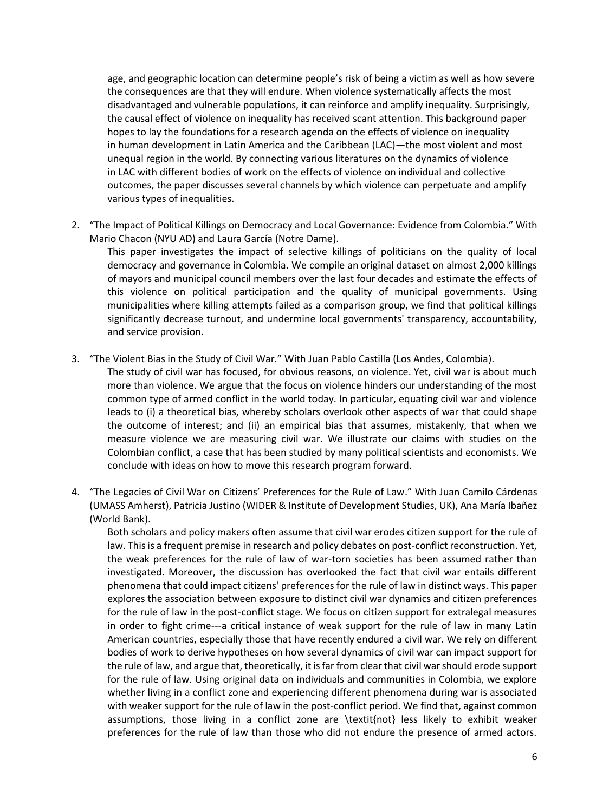age, and geographic location can determine people's risk of being a victim as well as how severe the consequences are that they will endure. When violence systematically affects the most disadvantaged and vulnerable populations, it can reinforce and amplify inequality. Surprisingly, the causal effect of violence on inequality has received scant attention. This background paper hopes to lay the foundations for a research agenda on the effects of violence on inequality in human development in Latin America and the Caribbean (LAC)—the most violent and most unequal region in the world. By connecting various literatures on the dynamics of violence in LAC with different bodies of work on the effects of violence on individual and collective outcomes, the paper discusses several channels by which violence can perpetuate and amplify various types of inequalities.

2. "The Impact of Political Killings on Democracy and Local Governance: Evidence from Colombia." With Mario Chacon (NYU AD) and Laura García (Notre Dame).

This paper investigates the impact of selective killings of politicians on the quality of local democracy and governance in Colombia. We compile an original dataset on almost 2,000 killings of mayors and municipal council members over the last four decades and estimate the effects of this violence on political participation and the quality of municipal governments. Using municipalities where killing attempts failed as a comparison group, we find that political killings significantly decrease turnout, and undermine local governments' transparency, accountability, and service provision.

3. "The Violent Bias in the Study of Civil War." With Juan Pablo Castilla (Los Andes, Colombia).

The study of civil war has focused, for obvious reasons, on violence. Yet, civil war is about much more than violence. We argue that the focus on violence hinders our understanding of the most common type of armed conflict in the world today. In particular, equating civil war and violence leads to (i) a theoretical bias, whereby scholars overlook other aspects of war that could shape the outcome of interest; and (ii) an empirical bias that assumes, mistakenly, that when we measure violence we are measuring civil war. We illustrate our claims with studies on the Colombian conflict, a case that has been studied by many political scientists and economists. We conclude with ideas on how to move this research program forward.

4. "The Legacies of Civil War on Citizens' Preferences for the Rule of Law." With Juan Camilo Cárdenas (UMASS Amherst), Patricia Justino (WIDER & Institute of Development Studies, UK), Ana María Ibañez (World Bank).

Both scholars and policy makers often assume that civil war erodes citizen support for the rule of law. This is a frequent premise in research and policy debates on post-conflict reconstruction. Yet, the weak preferences for the rule of law of war-torn societies has been assumed rather than investigated. Moreover, the discussion has overlooked the fact that civil war entails different phenomena that could impact citizens' preferences for the rule of law in distinct ways. This paper explores the association between exposure to distinct civil war dynamics and citizen preferences for the rule of law in the post-conflict stage. We focus on citizen support for extralegal measures in order to fight crime---a critical instance of weak support for the rule of law in many Latin American countries, especially those that have recently endured a civil war. We rely on different bodies of work to derive hypotheses on how several dynamics of civil war can impact support for the rule of law, and argue that, theoretically, it is far from clear that civil war should erode support for the rule of law. Using original data on individuals and communities in Colombia, we explore whether living in a conflict zone and experiencing different phenomena during war is associated with weaker support for the rule of law in the post-conflict period. We find that, against common assumptions, those living in a conflict zone are \textit{not} less likely to exhibit weaker preferences for the rule of law than those who did not endure the presence of armed actors.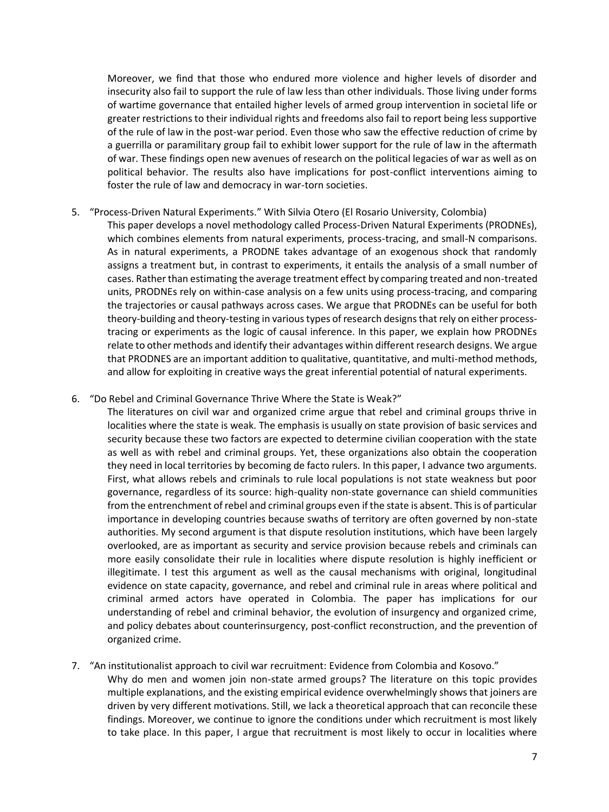Moreover, we find that those who endured more violence and higher levels of disorder and insecurity also fail to support the rule of law less than other individuals. Those living under forms of wartime governance that entailed higher levels of armed group intervention in societal life or greater restrictions to their individual rights and freedoms also fail to report being less supportive of the rule of law in the post-war period. Even those who saw the effective reduction of crime by a guerrilla or paramilitary group fail to exhibit lower support for the rule of law in the aftermath of war. These findings open new avenues of research on the political legacies of war as well as on political behavior. The results also have implications for post-conflict interventions aiming to foster the rule of law and democracy in war-torn societies.

### 5. "Process-Driven Natural Experiments." With Silvia Otero (El Rosario University, Colombia)

This paper develops a novel methodology called Process-Driven Natural Experiments (PRODNEs), which combines elements from natural experiments, process-tracing, and small-N comparisons. As in natural experiments, a PRODNE takes advantage of an exogenous shock that randomly assigns a treatment but, in contrast to experiments, it entails the analysis of a small number of cases. Rather than estimating the average treatment effect by comparing treated and non-treated units, PRODNEs rely on within-case analysis on a few units using process-tracing, and comparing the trajectories or causal pathways across cases. We argue that PRODNEs can be useful for both theory-building and theory-testing in various types of research designs that rely on either processtracing or experiments as the logic of causal inference. In this paper, we explain how PRODNEs relate to other methods and identify their advantages within different research designs. We argue that PRODNES are an important addition to qualitative, quantitative, and multi-method methods, and allow for exploiting in creative ways the great inferential potential of natural experiments.

### 6. "Do Rebel and Criminal Governance Thrive Where the State is Weak?"

The literatures on civil war and organized crime argue that rebel and criminal groups thrive in localities where the state is weak. The emphasis is usually on state provision of basic services and security because these two factors are expected to determine civilian cooperation with the state as well as with rebel and criminal groups. Yet, these organizations also obtain the cooperation they need in local territories by becoming de facto rulers. In this paper, I advance two arguments. First, what allows rebels and criminals to rule local populations is not state weakness but poor governance, regardless of its source: high-quality non-state governance can shield communities from the entrenchment of rebel and criminal groups even if the state is absent. This is of particular importance in developing countries because swaths of territory are often governed by non-state authorities. My second argument is that dispute resolution institutions, which have been largely overlooked, are as important as security and service provision because rebels and criminals can more easily consolidate their rule in localities where dispute resolution is highly inefficient or illegitimate. I test this argument as well as the causal mechanisms with original, longitudinal evidence on state capacity, governance, and rebel and criminal rule in areas where political and criminal armed actors have operated in Colombia. The paper has implications for our understanding of rebel and criminal behavior, the evolution of insurgency and organized crime, and policy debates about counterinsurgency, post-conflict reconstruction, and the prevention of organized crime.

# 7. "An institutionalist approach to civil war recruitment: Evidence from Colombia and Kosovo."

Why do men and women join non-state armed groups? The literature on this topic provides multiple explanations, and the existing empirical evidence overwhelmingly shows that joiners are driven by very different motivations. Still, we lack a theoretical approach that can reconcile these findings. Moreover, we continue to ignore the conditions under which recruitment is most likely to take place. In this paper, I argue that recruitment is most likely to occur in localities where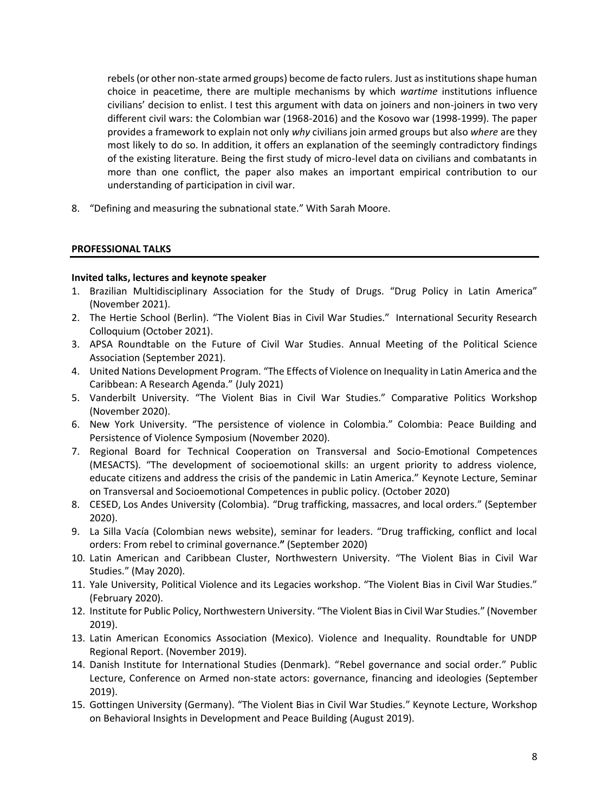rebels (or other non-state armed groups) become de facto rulers. Just as institutions shape human choice in peacetime, there are multiple mechanisms by which *wartime* institutions influence civilians' decision to enlist. I test this argument with data on joiners and non-joiners in two very different civil wars: the Colombian war (1968-2016) and the Kosovo war (1998-1999). The paper provides a framework to explain not only *why* civilians join armed groups but also *where* are they most likely to do so. In addition, it offers an explanation of the seemingly contradictory findings of the existing literature. Being the first study of micro-level data on civilians and combatants in more than one conflict, the paper also makes an important empirical contribution to our understanding of participation in civil war.

8. "Defining and measuring the subnational state." With Sarah Moore.

### **PROFESSIONAL TALKS**

### **Invited talks, lectures and keynote speaker**

- 1. Brazilian Multidisciplinary Association for the Study of Drugs. "Drug Policy in Latin America" (November 2021).
- 2. The Hertie School (Berlin). "The Violent Bias in Civil War Studies." International Security Research Colloquium (October 2021).
- 3. APSA Roundtable on the Future of Civil War Studies. Annual Meeting of the Political Science Association (September 2021).
- 4. United Nations Development Program. "The Effects of Violence on Inequality in Latin America and the Caribbean: A Research Agenda." (July 2021)
- 5. Vanderbilt University. "The Violent Bias in Civil War Studies." Comparative Politics Workshop (November 2020).
- 6. New York University. "The persistence of violence in Colombia." Colombia: Peace Building and Persistence of Violence Symposium (November 2020).
- 7. Regional Board for Technical Cooperation on Transversal and Socio-Emotional Competences (MESACTS). "The development of socioemotional skills: an urgent priority to address violence, educate citizens and address the crisis of the pandemic in Latin America." Keynote Lecture, Seminar on Transversal and Socioemotional Competences in public policy. (October 2020)
- 8. CESED, Los Andes University (Colombia). "Drug trafficking, massacres, and local orders." (September 2020).
- 9. La Silla Vacía (Colombian news website), seminar for leaders. "Drug trafficking, conflict and local orders: From rebel to criminal governance.**"** (September 2020)
- 10. Latin American and Caribbean Cluster, Northwestern University. "The Violent Bias in Civil War Studies." (May 2020).
- 11. Yale University, Political Violence and its Legacies workshop. "The Violent Bias in Civil War Studies." (February 2020).
- 12. Institute for Public Policy, Northwestern University. "The Violent Bias in Civil War Studies." (November 2019).
- 13. Latin American Economics Association (Mexico). Violence and Inequality. Roundtable for UNDP Regional Report. (November 2019).
- 14. Danish Institute for International Studies (Denmark). "Rebel governance and social order." Public Lecture, Conference on Armed non-state actors: governance, financing and ideologies (September 2019).
- 15. Gottingen University (Germany). "The Violent Bias in Civil War Studies." Keynote Lecture, Workshop on Behavioral Insights in Development and Peace Building (August 2019).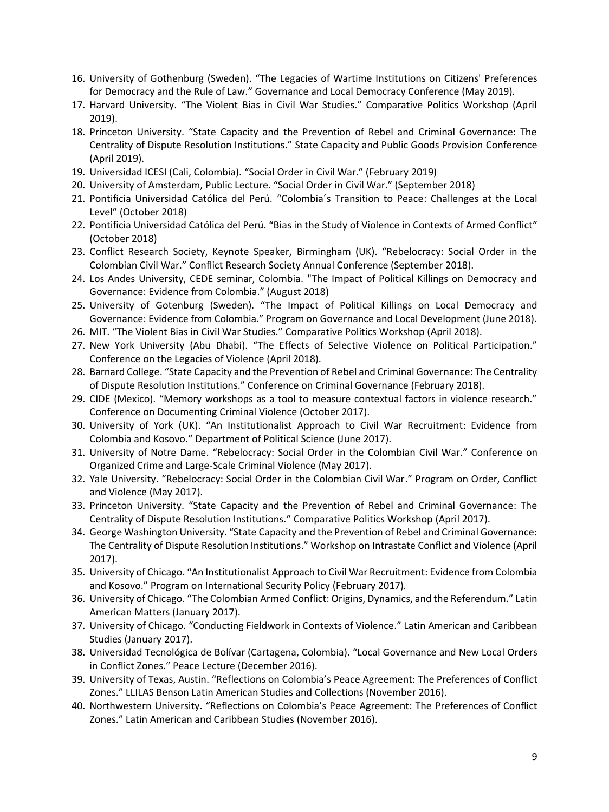- 16. University of Gothenburg (Sweden). "The Legacies of Wartime Institutions on Citizens' Preferences for Democracy and the Rule of Law." Governance and Local Democracy Conference (May 2019).
- 17. Harvard University. "The Violent Bias in Civil War Studies." Comparative Politics Workshop (April 2019).
- 18. Princeton University. "State Capacity and the Prevention of Rebel and Criminal Governance: The Centrality of Dispute Resolution Institutions." State Capacity and Public Goods Provision Conference (April 2019).
- 19. Universidad ICESI (Cali, Colombia). "Social Order in Civil War." (February 2019)
- 20. University of Amsterdam, Public Lecture. "Social Order in Civil War." (September 2018)
- 21. Pontificia Universidad Católica del Perú. "Colombia´s Transition to Peace: Challenges at the Local Level" (October 2018)
- 22. Pontificia Universidad Católica del Perú. "Bias in the Study of Violence in Contexts of Armed Conflict" (October 2018)
- 23. Conflict Research Society, Keynote Speaker, Birmingham (UK). "Rebelocracy: Social Order in the Colombian Civil War." Conflict Research Society Annual Conference (September 2018).
- 24. Los Andes University, CEDE seminar, Colombia. "The Impact of Political Killings on Democracy and Governance: Evidence from Colombia." (August 2018)
- 25. University of Gotenburg (Sweden). "The Impact of Political Killings on Local Democracy and Governance: Evidence from Colombia." Program on Governance and Local Development (June 2018).
- 26. MIT. "The Violent Bias in Civil War Studies." Comparative Politics Workshop (April 2018).
- 27. New York University (Abu Dhabi). "The Effects of Selective Violence on Political Participation." Conference on the Legacies of Violence (April 2018).
- 28. Barnard College. "State Capacity and the Prevention of Rebel and Criminal Governance: The Centrality of Dispute Resolution Institutions." Conference on Criminal Governance (February 2018).
- 29. CIDE (Mexico). "Memory workshops as a tool to measure contextual factors in violence research." Conference on Documenting Criminal Violence (October 2017).
- 30. University of York (UK). "An Institutionalist Approach to Civil War Recruitment: Evidence from Colombia and Kosovo." Department of Political Science (June 2017).
- 31. University of Notre Dame. "Rebelocracy: Social Order in the Colombian Civil War." Conference on Organized Crime and Large-Scale Criminal Violence (May 2017).
- 32. Yale University. "Rebelocracy: Social Order in the Colombian Civil War." Program on Order, Conflict and Violence (May 2017).
- 33. Princeton University. "State Capacity and the Prevention of Rebel and Criminal Governance: The Centrality of Dispute Resolution Institutions." Comparative Politics Workshop (April 2017).
- 34. George Washington University. "State Capacity and the Prevention of Rebel and Criminal Governance: The Centrality of Dispute Resolution Institutions." Workshop on Intrastate Conflict and Violence (April 2017).
- 35. University of Chicago. "An Institutionalist Approach to Civil War Recruitment: Evidence from Colombia and Kosovo." Program on International Security Policy (February 2017).
- 36. University of Chicago. "The Colombian Armed Conflict: Origins, Dynamics, and the Referendum." Latin American Matters (January 2017).
- 37. University of Chicago. "Conducting Fieldwork in Contexts of Violence." Latin American and Caribbean Studies (January 2017).
- 38. Universidad Tecnológica de Bolívar (Cartagena, Colombia). "Local Governance and New Local Orders in Conflict Zones." Peace Lecture (December 2016).
- 39. University of Texas, Austin. "Reflections on Colombia's Peace Agreement: The Preferences of Conflict Zones." LLILAS Benson Latin American Studies and Collections (November 2016).
- 40. Northwestern University. "Reflections on Colombia's Peace Agreement: The Preferences of Conflict Zones." Latin American and Caribbean Studies (November 2016).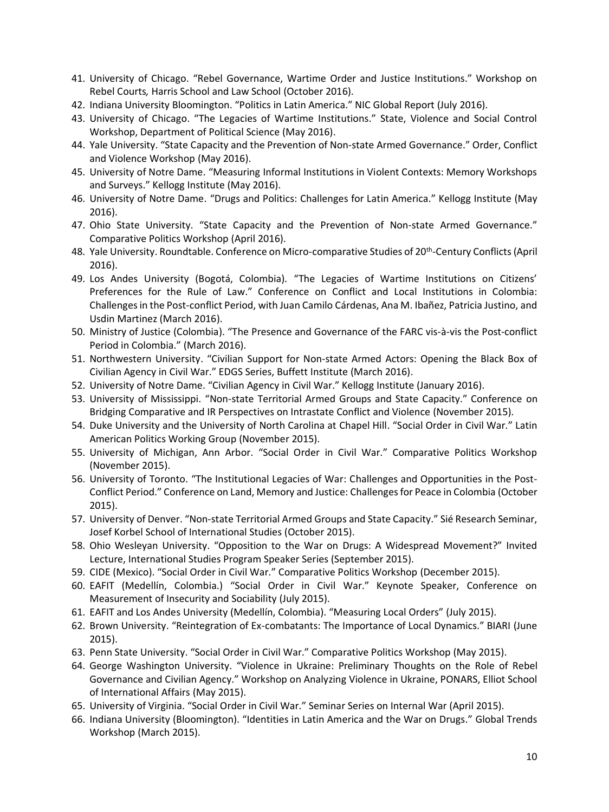- 41. University of Chicago. "Rebel Governance, Wartime Order and Justice Institutions." Workshop on Rebel Courts*,* Harris School and Law School (October 2016).
- 42. Indiana University Bloomington. "Politics in Latin America." NIC Global Report (July 2016).
- 43. University of Chicago. "The Legacies of Wartime Institutions." State, Violence and Social Control Workshop, Department of Political Science (May 2016).
- 44. Yale University. "State Capacity and the Prevention of Non-state Armed Governance." Order, Conflict and Violence Workshop (May 2016).
- 45. University of Notre Dame. "Measuring Informal Institutions in Violent Contexts: Memory Workshops and Surveys." Kellogg Institute (May 2016).
- 46. University of Notre Dame. "Drugs and Politics: Challenges for Latin America." Kellogg Institute (May 2016).
- 47. Ohio State University. "State Capacity and the Prevention of Non-state Armed Governance." Comparative Politics Workshop (April 2016).
- 48. Yale University. Roundtable. Conference on Micro-comparative Studies of 20<sup>th</sup>-Century Conflicts (April 2016).
- 49. Los Andes University (Bogotá, Colombia). "The Legacies of Wartime Institutions on Citizens' Preferences for the Rule of Law." Conference on Conflict and Local Institutions in Colombia: Challenges in the Post-conflict Period, with Juan Camilo Cárdenas, Ana M. Ibañez, Patricia Justino, and Usdin Martinez (March 2016).
- 50. Ministry of Justice (Colombia). "The Presence and Governance of the FARC vis-à-vis the Post-conflict Period in Colombia." (March 2016).
- 51. Northwestern University. "Civilian Support for Non-state Armed Actors: Opening the Black Box of Civilian Agency in Civil War." EDGS Series, Buffett Institute (March 2016).
- 52. University of Notre Dame. "Civilian Agency in Civil War." Kellogg Institute (January 2016).
- 53. University of Mississippi. "Non-state Territorial Armed Groups and State Capacity." Conference on Bridging Comparative and IR Perspectives on Intrastate Conflict and Violence (November 2015).
- 54. Duke University and the University of North Carolina at Chapel Hill. "Social Order in Civil War." Latin American Politics Working Group (November 2015).
- 55. University of Michigan, Ann Arbor. "Social Order in Civil War." Comparative Politics Workshop (November 2015).
- 56. University of Toronto. "The Institutional Legacies of War: Challenges and Opportunities in the Post-Conflict Period." Conference on Land, Memory and Justice: Challenges for Peace in Colombia (October 2015).
- 57. University of Denver. "Non-state Territorial Armed Groups and State Capacity." Sié Research Seminar, Josef Korbel School of International Studies (October 2015).
- 58. Ohio Wesleyan University. "Opposition to the War on Drugs: A Widespread Movement?" Invited Lecture, International Studies Program Speaker Series (September 2015).
- 59. CIDE (Mexico). "Social Order in Civil War." Comparative Politics Workshop (December 2015).
- 60. EAFIT (Medellín, Colombia.) "Social Order in Civil War." Keynote Speaker, Conference on Measurement of Insecurity and Sociability (July 2015).
- 61. EAFIT and Los Andes University (Medellín, Colombia). "Measuring Local Orders" (July 2015).
- 62. Brown University. "Reintegration of Ex-combatants: The Importance of Local Dynamics." BIARI (June 2015).
- 63. Penn State University. "Social Order in Civil War." Comparative Politics Workshop (May 2015).
- 64. George Washington University. "Violence in Ukraine: Preliminary Thoughts on the Role of Rebel Governance and Civilian Agency." Workshop on Analyzing Violence in Ukraine, PONARS, Elliot School of International Affairs (May 2015).
- 65. University of Virginia. "Social Order in Civil War." Seminar Series on Internal War (April 2015).
- 66. Indiana University (Bloomington). "Identities in Latin America and the War on Drugs." Global Trends Workshop (March 2015).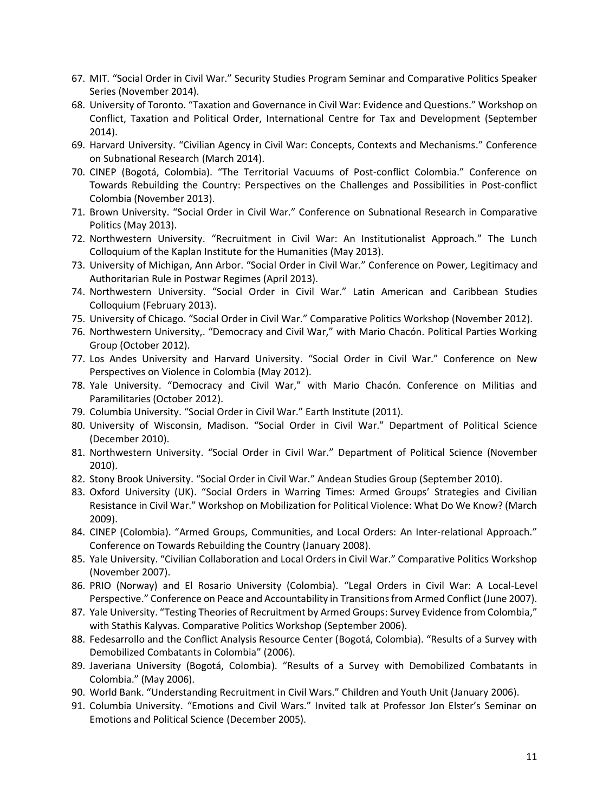- 67. MIT. "Social Order in Civil War." Security Studies Program Seminar and Comparative Politics Speaker Series (November 2014).
- 68. University of Toronto. "Taxation and Governance in Civil War: Evidence and Questions." Workshop on Conflict, Taxation and Political Order, International Centre for Tax and Development (September 2014).
- 69. Harvard University. "Civilian Agency in Civil War: Concepts, Contexts and Mechanisms." Conference on Subnational Research (March 2014).
- 70. CINEP (Bogotá, Colombia). "The Territorial Vacuums of Post-conflict Colombia." Conference on Towards Rebuilding the Country: Perspectives on the Challenges and Possibilities in Post-conflict Colombia (November 2013).
- 71. Brown University. "Social Order in Civil War." Conference on Subnational Research in Comparative Politics (May 2013).
- 72. Northwestern University. "Recruitment in Civil War: An Institutionalist Approach." The Lunch Colloquium of the Kaplan Institute for the Humanities (May 2013).
- 73. University of Michigan, Ann Arbor. "Social Order in Civil War." Conference on Power, Legitimacy and Authoritarian Rule in Postwar Regimes (April 2013).
- 74. Northwestern University. "Social Order in Civil War." Latin American and Caribbean Studies Colloquium (February 2013).
- 75. University of Chicago. "Social Order in Civil War." Comparative Politics Workshop (November 2012).
- 76. Northwestern University,. "Democracy and Civil War," with Mario Chacón. Political Parties Working Group (October 2012).
- 77. Los Andes University and Harvard University. "Social Order in Civil War." Conference on New Perspectives on Violence in Colombia (May 2012).
- 78. Yale University. "Democracy and Civil War," with Mario Chacón. Conference on Militias and Paramilitaries (October 2012).
- 79. Columbia University. "Social Order in Civil War." Earth Institute (2011).
- 80. University of Wisconsin, Madison. "Social Order in Civil War." Department of Political Science (December 2010).
- 81. Northwestern University. "Social Order in Civil War." Department of Political Science (November 2010).
- 82. Stony Brook University. "Social Order in Civil War." Andean Studies Group (September 2010).
- 83. Oxford University (UK). "Social Orders in Warring Times: Armed Groups' Strategies and Civilian Resistance in Civil War." Workshop on Mobilization for Political Violence: What Do We Know? (March 2009).
- 84. CINEP (Colombia). "Armed Groups, Communities, and Local Orders: An Inter-relational Approach." Conference on Towards Rebuilding the Country (January 2008).
- 85. Yale University. "Civilian Collaboration and Local Orders in Civil War." Comparative Politics Workshop (November 2007).
- 86. PRIO (Norway) and El Rosario University (Colombia). "Legal Orders in Civil War: A Local-Level Perspective." Conference on Peace and Accountability in Transitions from Armed Conflict (June 2007).
- 87. Yale University. "Testing Theories of Recruitment by Armed Groups: Survey Evidence from Colombia," with Stathis Kalyvas. Comparative Politics Workshop (September 2006).
- 88. Fedesarrollo and the Conflict Analysis Resource Center (Bogotá, Colombia). "Results of a Survey with Demobilized Combatants in Colombia" (2006).
- 89. Javeriana University (Bogotá, Colombia). "Results of a Survey with Demobilized Combatants in Colombia." (May 2006).
- 90. World Bank. "Understanding Recruitment in Civil Wars." Children and Youth Unit (January 2006).
- 91. Columbia University. "Emotions and Civil Wars." Invited talk at Professor Jon Elster's Seminar on Emotions and Political Science (December 2005).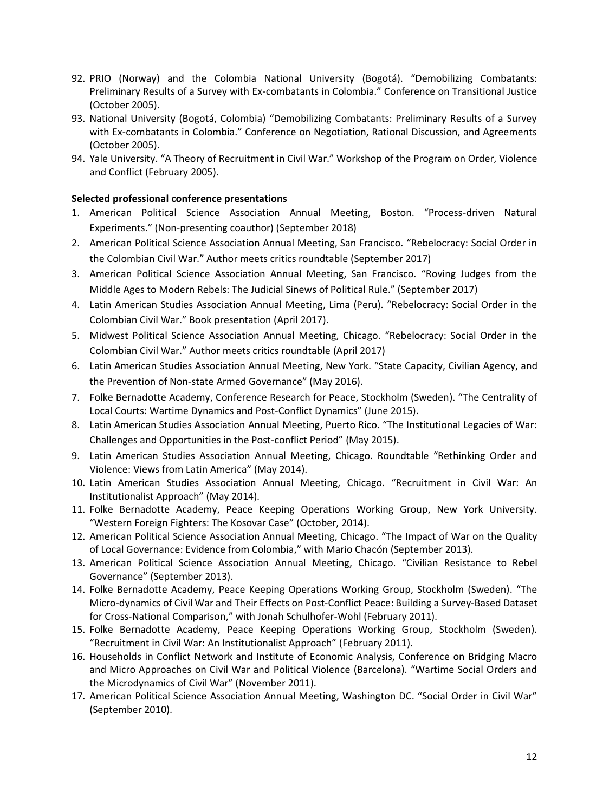- 92. PRIO (Norway) and the Colombia National University (Bogotá). "Demobilizing Combatants: Preliminary Results of a Survey with Ex-combatants in Colombia." Conference on Transitional Justice (October 2005).
- 93. National University (Bogotá, Colombia) "Demobilizing Combatants: Preliminary Results of a Survey with Ex-combatants in Colombia." Conference on Negotiation, Rational Discussion, and Agreements (October 2005).
- 94. Yale University. "A Theory of Recruitment in Civil War." Workshop of the Program on Order, Violence and Conflict (February 2005).

### **Selected professional conference presentations**

- 1. American Political Science Association Annual Meeting, Boston. "Process-driven Natural Experiments." (Non-presenting coauthor) (September 2018)
- 2. American Political Science Association Annual Meeting, San Francisco. "Rebelocracy: Social Order in the Colombian Civil War." Author meets critics roundtable (September 2017)
- 3. American Political Science Association Annual Meeting, San Francisco. "Roving Judges from the Middle Ages to Modern Rebels: The Judicial Sinews of Political Rule." (September 2017)
- 4. Latin American Studies Association Annual Meeting, Lima (Peru). "Rebelocracy: Social Order in the Colombian Civil War." Book presentation (April 2017).
- 5. Midwest Political Science Association Annual Meeting, Chicago. "Rebelocracy: Social Order in the Colombian Civil War." Author meets critics roundtable (April 2017)
- 6. Latin American Studies Association Annual Meeting, New York. "State Capacity, Civilian Agency, and the Prevention of Non-state Armed Governance" (May 2016).
- 7. Folke Bernadotte Academy, Conference Research for Peace, Stockholm (Sweden). "The Centrality of Local Courts: Wartime Dynamics and Post-Conflict Dynamics" (June 2015).
- 8. Latin American Studies Association Annual Meeting, Puerto Rico. "The Institutional Legacies of War: Challenges and Opportunities in the Post-conflict Period" (May 2015).
- 9. Latin American Studies Association Annual Meeting, Chicago. Roundtable "Rethinking Order and Violence: Views from Latin America" (May 2014).
- 10. Latin American Studies Association Annual Meeting, Chicago. "Recruitment in Civil War: An Institutionalist Approach" (May 2014).
- 11. Folke Bernadotte Academy, Peace Keeping Operations Working Group, New York University. "Western Foreign Fighters: The Kosovar Case" (October, 2014).
- 12. American Political Science Association Annual Meeting, Chicago. "The Impact of War on the Quality of Local Governance: Evidence from Colombia," with Mario Chacón (September 2013).
- 13. American Political Science Association Annual Meeting, Chicago. "Civilian Resistance to Rebel Governance" (September 2013).
- 14. Folke Bernadotte Academy, Peace Keeping Operations Working Group, Stockholm (Sweden). "The Micro-dynamics of Civil War and Their Effects on Post-Conflict Peace: Building a Survey-Based Dataset for Cross-National Comparison," with Jonah Schulhofer-Wohl (February 2011).
- 15. Folke Bernadotte Academy, Peace Keeping Operations Working Group, Stockholm (Sweden). "Recruitment in Civil War: An Institutionalist Approach" (February 2011).
- 16. Households in Conflict Network and Institute of Economic Analysis, Conference on Bridging Macro and Micro Approaches on Civil War and Political Violence (Barcelona). "Wartime Social Orders and the Microdynamics of Civil War" (November 2011).
- 17. American Political Science Association Annual Meeting, Washington DC. "Social Order in Civil War" (September 2010).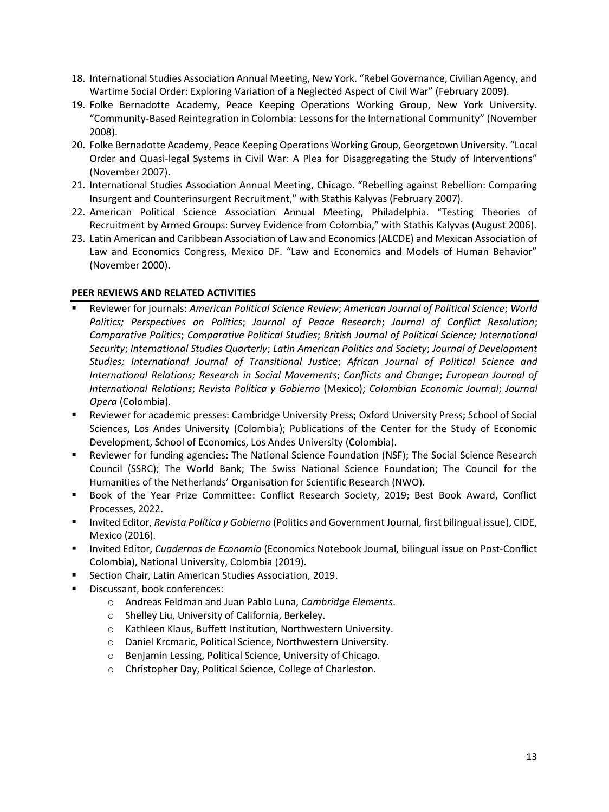- 18. International Studies Association Annual Meeting, New York. "Rebel Governance, Civilian Agency, and Wartime Social Order: Exploring Variation of a Neglected Aspect of Civil War" (February 2009).
- 19. Folke Bernadotte Academy, Peace Keeping Operations Working Group, New York University. "Community-Based Reintegration in Colombia: Lessons for the International Community" (November 2008).
- 20. Folke Bernadotte Academy, Peace Keeping Operations Working Group, Georgetown University. "Local Order and Quasi-legal Systems in Civil War: A Plea for Disaggregating the Study of Interventions" (November 2007).
- 21. International Studies Association Annual Meeting, Chicago. "Rebelling against Rebellion: Comparing Insurgent and Counterinsurgent Recruitment," with Stathis Kalyvas (February 2007).
- 22. American Political Science Association Annual Meeting, Philadelphia. "Testing Theories of Recruitment by Armed Groups: Survey Evidence from Colombia," with Stathis Kalyvas (August 2006).
- 23. Latin American and Caribbean Association of Law and Economics (ALCDE) and Mexican Association of Law and Economics Congress, Mexico DF. "Law and Economics and Models of Human Behavior" (November 2000).

### **PEER REVIEWS AND RELATED ACTIVITIES**

- Reviewer for journals: *American Political Science Review*; *American Journal of Political Science*; *World Politics; Perspectives on Politics*; *Journal of Peace Research*; *Journal of Conflict Resolution*; *Comparative Politics*; *Comparative Political Studies*; *British Journal of Political Science; International Security*; *International Studies Quarterly*; *Latin American Politics and Society*; *Journal of Development Studies; International Journal of Transitional Justice*; *African Journal of Political Science and International Relations; Research in Social Movements*; *Conflicts and Change*; *European Journal of International Relations*; *Revista Política y Gobierno* (Mexico); *Colombian Economic Journal*; *Journal Opera* (Colombia).
- **EXECT:** Reviewer for academic presses: Cambridge University Press; Oxford University Press; School of Social Sciences, Los Andes University (Colombia); Publications of the Center for the Study of Economic Development, School of Economics, Los Andes University (Colombia).
- Reviewer for funding agencies: The National Science Foundation (NSF); The Social Science Research Council (SSRC); The World Bank; The Swiss National Science Foundation; The Council for the Humanities of the Netherlands' Organisation for Scientific Research (NWO).
- Book of the Year Prize Committee: Conflict Research Society, 2019; Best Book Award, Conflict Processes, 2022.
- Invited Editor, *Revista Política y Gobierno* (Politics and Government Journal, first bilingual issue), CIDE, Mexico (2016).
- Invited Editor, *Cuadernos de Economía* (Economics Notebook Journal, bilingual issue on Post-Conflict Colombia), National University, Colombia (2019).
- Section Chair, Latin American Studies Association, 2019.
- Discussant, book conferences:
	- o Andreas Feldman and Juan Pablo Luna, *Cambridge Elements*.
	- o Shelley Liu, University of California, Berkeley.
	- o Kathleen Klaus, Buffett Institution, Northwestern University.
	- o Daniel Krcmaric, Political Science, Northwestern University.
	- o Benjamin Lessing, Political Science, University of Chicago.
	- o Christopher Day, Political Science, College of Charleston.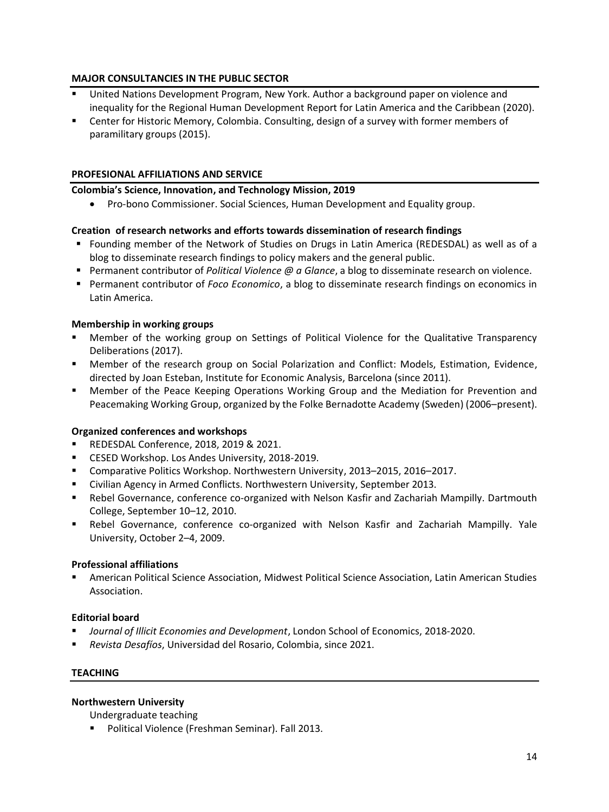# **MAJOR CONSULTANCIES IN THE PUBLIC SECTOR**

- United Nations Development Program, New York. Author a background paper on violence and inequality for the Regional Human Development Report for Latin America and the Caribbean (2020).
- Center for Historic Memory, Colombia. Consulting, design of a survey with former members of paramilitary groups (2015).

# **PROFESIONAL AFFILIATIONS AND SERVICE**

# **Colombia's Science, Innovation, and Technology Mission, 2019**

• Pro-bono Commissioner. Social Sciences, Human Development and Equality group.

# **Creation of research networks and efforts towards dissemination of research findings**

- Founding member of the Network of Studies on Drugs in Latin America (REDESDAL) as well as of a blog to disseminate research findings to policy makers and the general public.
- Permanent contributor of *Political Violence @ a Glance*, a blog to disseminate research on violence.
- Permanent contributor of *Foco Economico*, a blog to disseminate research findings on economics in Latin America.

### **Membership in working groups**

- Member of the working group on Settings of Political Violence for the Qualitative Transparency Deliberations (2017).
- Member of the research group on Social Polarization and Conflict: Models, Estimation, Evidence, directed by Joan Esteban, Institute for Economic Analysis, Barcelona (since 2011).
- **■** Member of the Peace Keeping Operations Working Group and the Mediation for Prevention and Peacemaking Working Group, organized by the Folke Bernadotte Academy (Sweden) (2006–present).

#### **Organized conferences and workshops**

- REDESDAL Conference, 2018, 2019 & 2021.
- CESED Workshop. Los Andes University, 2018-2019.
- Comparative Politics Workshop. Northwestern University, 2013–2015, 2016–2017.
- Civilian Agency in Armed Conflicts. Northwestern University, September 2013.
- Rebel Governance, conference co-organized with Nelson Kasfir and Zachariah Mampilly. Dartmouth College, September 10–12, 2010.
- Rebel Governance, conference co-organized with Nelson Kasfir and Zachariah Mampilly. Yale University, October 2–4, 2009.

#### **Professional affiliations**

American Political Science Association, Midwest Political Science Association, Latin American Studies Association.

# **Editorial board**

- *Journal of Illicit Economies and Development*, London School of Economics, 2018-2020.
- *Revista Desafíos*, Universidad del Rosario, Colombia, since 2021.

# **TEACHING**

#### **Northwestern University**

Undergraduate teaching

■ Political Violence (Freshman Seminar). Fall 2013.